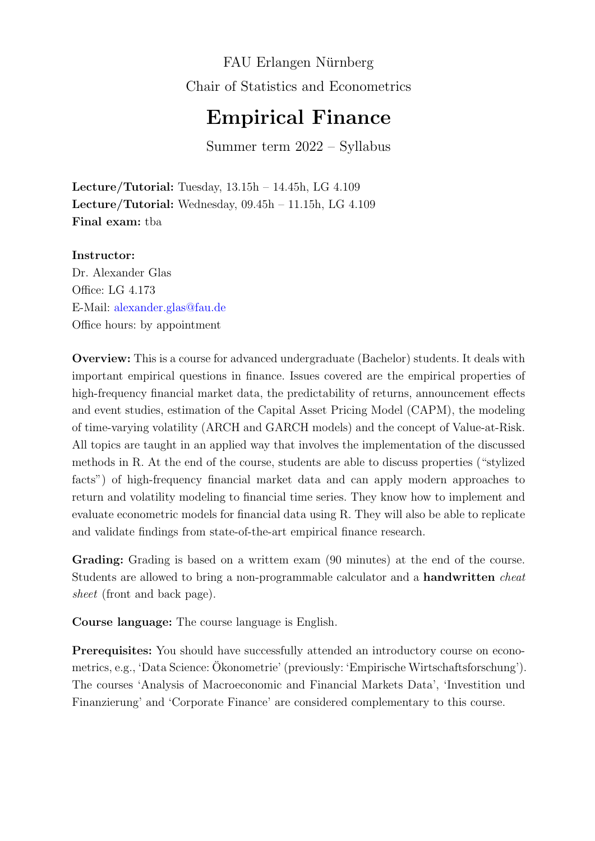FAU Erlangen Nürnberg Chair of Statistics and Econometrics

## Empirical Finance

Summer term 2022 – Syllabus

Lecture/Tutorial: Tuesday,  $13.15h - 14.45h$ , LG  $4.109$ Lecture/Tutorial: Wednesday, 09.45h – 11.15h, LG 4.109 Final exam: tba

## Instructor:

Dr. Alexander Glas Office: LG 4.173 E-Mail: <alexander.glas@fau.de> Office hours: by appointment

Overview: This is a course for advanced undergraduate (Bachelor) students. It deals with important empirical questions in finance. Issues covered are the empirical properties of high-frequency financial market data, the predictability of returns, announcement effects and event studies, estimation of the Capital Asset Pricing Model (CAPM), the modeling of time-varying volatility (ARCH and GARCH models) and the concept of Value-at-Risk. All topics are taught in an applied way that involves the implementation of the discussed methods in R. At the end of the course, students are able to discuss properties ("stylized facts") of high-frequency financial market data and can apply modern approaches to return and volatility modeling to financial time series. They know how to implement and evaluate econometric models for financial data using R. They will also be able to replicate and validate findings from state-of-the-art empirical finance research.

Grading: Grading is based on a writtem exam  $(90 \text{ minutes})$  at the end of the course. Students are allowed to bring a non-programmable calculator and a **handwritten** *cheat* sheet (front and back page).

Course language: The course language is English.

Prerequisites: You should have successfully attended an introductory course on econometrics, e.g., 'Data Science: Okonometrie' (previously: 'Empirische Wirtschaftsforschung'). ¨ The courses 'Analysis of Macroeconomic and Financial Markets Data', 'Investition und Finanzierung' and 'Corporate Finance' are considered complementary to this course.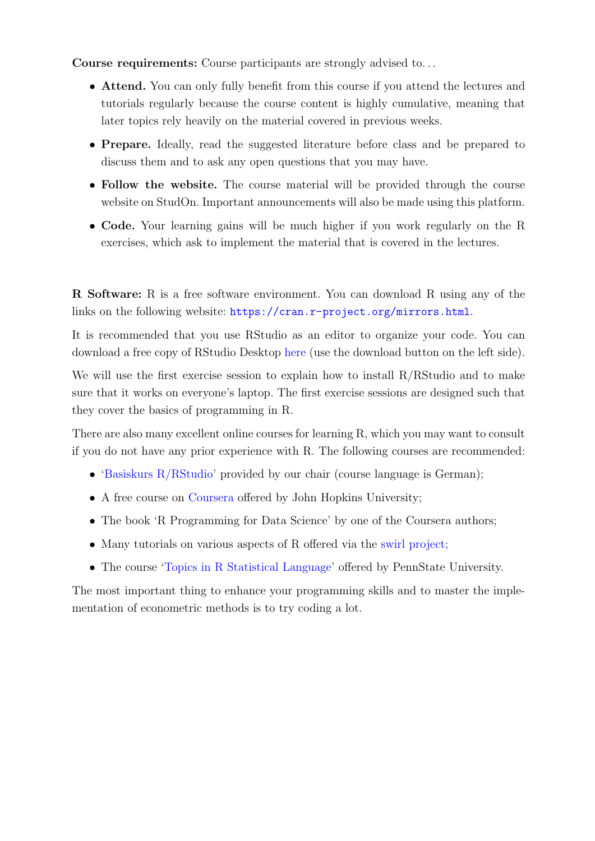Course requirements: Course participants are strongly advised to. . .

- Attend. You can only fully benefit from this course if you attend the lectures and tutorials regularly because the course content is highly cumulative, meaning that later topics rely heavily on the material covered in previous weeks.
- Prepare. Ideally, read the suggested literature before class and be prepared to discuss them and to ask any open questions that you may have.
- Follow the website. The course material will be provided through the course website on StudOn. Important announcements will also be made using this platform.
- Code. Your learning gains will be much higher if you work regularly on the R exercises, which ask to implement the material that is covered in the lectures.

R Software: R is a free software environment. You can download R using any of the links on the following website: <https://cran.r-project.org/mirrors.html>.

It is recommended that you use RStudio as an editor to organize your code. You can download a free copy of RStudio Desktop [here](https://www.rstudio.com/products/rstudio/download/) (use the download button on the left side).

We will use the first exercise session to explain how to install R/RStudio and to make sure that it works on everyone's laptop. The first exercise sessions are designed such that they cover the basics of programming in R.

There are also many excellent online courses for learning R, which you may want to consult if you do not have any prior experience with R. The following courses are recommended:

- 'Basiskurs  $R/R$ Studio' provided by our chair (course language is German);
- A free course on [Coursera](https://www.coursera.org/learn/r-programming/home/welcome) offered by John Hopkins University;
- The book 'R Programming for Data Science' by one of the Coursera authors;
- Many tutorials on various aspects of R offered via the [swirl project;](https://swirlstats.com/)
- The course ['Topics in R Statistical Language'](https://online.stat.psu.edu/stat484/lesson/welcome-stat-484) offered by PennState University.

The most important thing to enhance your programming skills and to master the implementation of econometric methods is to try coding a lot.